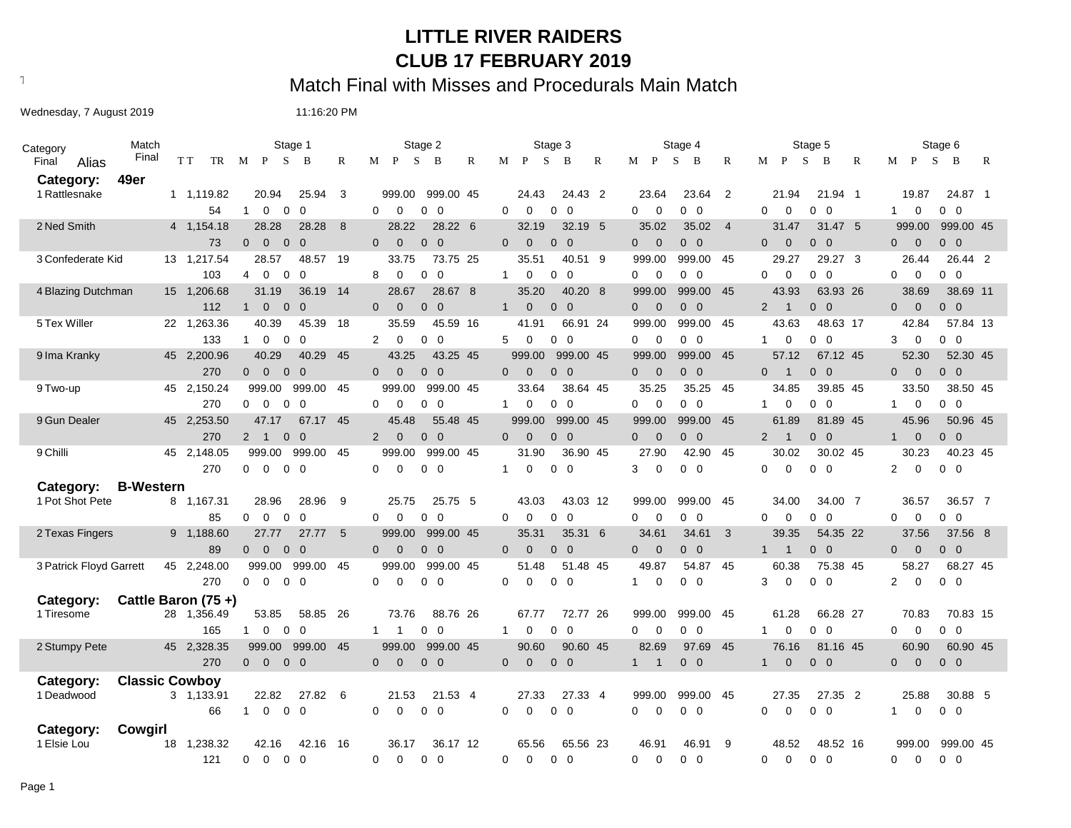### **LITTLE RIVER RAIDERS CLUB 17 FEBRUARY 2019**

# Text497: Match Final with Misses and Procedurals Main Match

Wednesday, 7 August 2019 11:16:20 PM

| Category          | Match                   |     |                    |                                  | Stage 1                          |                |      |                                  | Stage 2                        |              |                |                | Stage 3                          |   |                                  | Stage 4           |                         |                                  | Stage 5                        |                |                                | Stage 6                          |
|-------------------|-------------------------|-----|--------------------|----------------------------------|----------------------------------|----------------|------|----------------------------------|--------------------------------|--------------|----------------|----------------|----------------------------------|---|----------------------------------|-------------------|-------------------------|----------------------------------|--------------------------------|----------------|--------------------------------|----------------------------------|
| Final             | Final<br>Alias          | T T | TR                 | M                                | $\mathbf{P}$<br><sub>S</sub>     | - B            | R    | $\mathbf{P}$<br>M                | S<br>B                         | $\mathbb{R}$ | M P            | <sub>S</sub>   | B                                | R | M P                              | <sub>S</sub><br>B | R                       | $M$ $P$                          | <sub>S</sub><br>B              | R              | $M$ $P$<br>S                   | B<br>R                           |
| Category:         | 49er                    |     |                    |                                  |                                  |                |      |                                  |                                |              |                |                |                                  |   |                                  |                   |                         |                                  |                                |                |                                |                                  |
| 1 Rattlesnake     |                         |     | 1 1,119.82         |                                  | 20.94                            | 25.94          | 3    | 999.00                           | 999.00 45                      |              |                | 24.43          | 24.43 2                          |   | 23.64                            | 23.64             | $\overline{2}$          | 21.94                            | 21.94 1                        |                | 19.87                          | 24.87 1                          |
|                   |                         |     | 54                 | $\mathbf{1}$                     | $\mathbf 0$<br>$\mathbf 0$       | $\overline{0}$ |      | $\Omega$<br>$\mathbf 0$          | $\mathbf 0$<br>- 0             |              | $\Omega$       | $\mathbf 0$    | $0\quad 0$                       |   | 0<br>0                           | $0\quad 0$        |                         | 0<br>$\mathbf 0$                 | $\overline{\mathbf{0}}$<br>0   | $\mathbf{1}$   | 0                              | $0\quad 0$                       |
| 2 Ned Smith       |                         |     | 4 1.154.18         |                                  | 28.28                            | 28.28          | 8    | 28.22                            | 28.22 6                        |              |                | 32.19          | 32.19 5                          |   | 35.02                            | 35.02 4           |                         | 31.47                            | 31.47 5                        |                | 999.00                         | 999.00 45                        |
|                   |                         |     | 73                 | $\overline{0}$                   | $\overline{0}$<br>$\mathbf{0}$   | $\Omega$       |      | $\overline{0}$<br>$\overline{0}$ | $0\quad 0$                     |              | $\Omega$       | $\mathbf 0$    | $0\quad 0$                       |   | $\overline{0}$<br>$\overline{0}$ | $0\quad 0$        |                         | $\mathbf 0$<br>$\overline{0}$    | $0\quad 0$                     |                | $\mathbf 0$<br>$\overline{0}$  | $0\quad 0$                       |
| 3 Confederate Kid |                         |     | 13 1,217.54        |                                  | 28.57                            | 48.57 19       |      | 33.75                            | 73.75 25                       |              |                | 35.51          | 40.51 9                          |   | 999.00                           | 999.00 45         |                         | 29.27                            | 29.27 3                        |                | 26.44                          | 26.44 2                          |
|                   |                         |     | 103                | 4                                | $\Omega$<br>$\overline{0}$       | $\Omega$       |      | 8<br>$\mathbf 0$                 | $\Omega$<br>$\Omega$           |              | 1              | $\mathbf 0$    | $0\quad 0$                       |   | $\overline{0}$<br>0              | $0\quad 0$        |                         | $\Omega$<br>$\mathbf 0$          | $0\quad 0$                     | 0              | $\mathbf 0$                    | $\Omega$<br>$\mathbf 0$          |
|                   | 4 Blazing Dutchman      |     | 15 1,206.68        |                                  | 31.19                            | 36.19          | 14   | 28.67                            | 28.67 8                        |              |                | 35.20          | 40.20 8                          |   | 999.00                           | 999.00            | - 45                    | 43.93                            | 63.93 26                       |                | 38.69                          | 38.69 11                         |
|                   |                         |     | 112                | 1                                | $\overline{0}$<br>$\overline{0}$ | $\Omega$       |      | $\Omega$<br>$\Omega$             | $\overline{0}$<br>$\Omega$     |              | $\mathbf{1}$   | $\overline{0}$ | $0\quad 0$                       |   | $\overline{0}$<br>$\overline{0}$ | $0\quad 0$        |                         | 2<br>$\overline{1}$              | $\overline{0}$<br>$\Omega$     | 0              | $\Omega$                       | $\Omega$<br>$\mathbf{0}$         |
| 5 Tex Willer      |                         |     | 22 1,263.36        |                                  | 40.39                            | 45.39          | 18   | 35.59                            | 45.59 16                       |              |                | 41.91          | 66.91 24                         |   | 999.00                           | 999.00            | 45                      | 43.63                            | 48.63 17                       |                | 42.84                          | 57.84 13                         |
|                   |                         |     | 133                | $\mathbf{1}$                     | $\mathbf 0$<br>$\mathbf 0$       | $\Omega$       |      | $\overline{2}$<br>$\mathbf 0$    | $0\quad 0$                     |              | 5              | 0              | $0\quad 0$                       |   | $\overline{0}$<br>0              | $0\quad 0$        |                         | 0<br>$\mathbf{1}$                | $\overline{\mathbf{0}}$<br>0   | 3              | $\mathbf 0$                    | $\overline{0}$<br>0              |
| 9 Ima Kranky      |                         |     | 45 2,200.96        |                                  | 40.29                            | 40.29          | 45   | 43.25                            | 43.25 45                       |              |                | 999.00         | 999.00 45                        |   | 999.00                           | 999.00            | - 45                    | 57.12                            | 67.12 45                       |                | 52.30                          | 52.30 45                         |
|                   |                         |     | 270                | $\overline{0}$                   | $\overline{0}$<br>$\overline{0}$ | $\overline{0}$ |      | $\overline{0}$<br>$\overline{0}$ | $0\quad 0$                     |              | $\overline{0}$ | $\mathbf 0$    | $0\quad 0$                       |   | $0\qquad 0$                      | $0\quad 0$        |                         | $\overline{0}$<br>$\overline{1}$ | $0\quad 0$                     | $\overline{0}$ | $\mathbf 0$                    | $0\quad 0$                       |
| 9 Two-up          |                         |     | 45 2,150.24        |                                  | 999.00                           | 999.00 45      |      | 999.00                           | 999.00 45                      |              |                | 33.64          | 38.64 45                         |   | 35.25                            | 35.25             | - 45                    | 34.85                            | 39.85 45                       |                | 33.50                          | 38.50 45                         |
|                   |                         |     | 270                | 0                                | $\mathbf 0$<br>$\mathbf{0}$      | $\Omega$       |      | $\Omega$<br>$\mathbf 0$          | $0\quad 0$                     |              | 1              | $\mathbf 0$    | $0\quad 0$                       |   | $\mathbf 0$<br>0                 | $0\quad 0$        |                         | 0<br>1                           | $\overline{0}$<br>$\mathbf{0}$ | $\mathbf{1}$   | $\mathbf 0$                    | $\mathbf 0$<br>$\overline{0}$    |
| 9 Gun Dealer      |                         |     | 45 2,253.50        |                                  | 47.17                            | 67.17 45       |      | 45.48                            | 55.48 45                       |              |                | 999.00         | 999.00 45                        |   | 999.00                           | 999.00            | - 45                    | 61.89                            | 81.89 45                       |                | 45.96                          | 50.96 45                         |
|                   |                         |     | 270                | $\overline{2}$<br>$\overline{1}$ | $\mathbf{0}$                     | $\Omega$       |      | 2<br>$\overline{0}$              | $0\quad 0$                     |              | $\Omega$       | $\mathbf 0$    | $0\quad 0$                       |   | $\overline{0}$<br>$\overline{0}$ | $0\quad 0$        |                         | 2<br>$\overline{1}$              | $0\quad 0$                     |                | $\mathbf 0$<br>1               | $0\quad 0$                       |
| 9 Chilli          |                         |     | 45 2,148.05        |                                  | 999.00                           | 999.00 45      |      | 999.00                           | 999.00 45                      |              |                | 31.90          | 36.90 45                         |   | 27.90                            | 42.90             | - 45                    | 30.02                            | 30.02 45                       |                | 30.23                          | 40.23 45                         |
|                   |                         |     | 270                | $\overline{0}$                   | $\overline{0}$                   | $0\quad 0$     |      | $\Omega$<br>$\mathbf 0$          | $0\quad 0$                     |              | $\mathbf{1}$   | $\mathbf 0$    | $0\quad 0$                       |   | $\mathbf 0$<br>3                 | $0\quad 0$        |                         | $\mathbf 0$<br>$\Omega$          | $0\quad 0$                     |                | $\Omega$<br>$\overline{2}$     | $0\quad 0$                       |
| Category:         | <b>B-Western</b>        |     |                    |                                  |                                  |                |      |                                  |                                |              |                |                |                                  |   |                                  |                   |                         |                                  |                                |                |                                |                                  |
| 1 Pot Shot Pete   |                         |     | 8 1,167.31         |                                  | 28.96                            | 28.96          | 9    | 25.75                            | 25.75 5                        |              |                | 43.03          | 43.03 12                         |   | 999.00                           | 999.00 45         |                         | 34.00                            | 34.00 7                        |                | 36.57                          | 36.57 7                          |
|                   |                         |     | 85                 | 0                                | $\mathbf 0$<br>$\mathbf 0$       | $\Omega$       |      | 0<br>$\mathbf 0$                 | $\mathbf{0}$<br>$\overline{0}$ |              | $\Omega$       | $\mathbf 0$    | $\overline{0}$<br>$\overline{0}$ |   | $\overline{0}$<br>0              | $0\quad 0$        |                         | $\Omega$<br>$\mathbf 0$          | $\overline{0}$<br>0            | 0              | $\Omega$                       | $\overline{0}$<br>0              |
| 2 Texas Fingers   |                         |     | 9 1,188.60         |                                  | 27.77                            | 27.77          | 5    | 999.00                           | 999.00 45                      |              |                | 35.31          | 35.31 6                          |   | 34.61                            | 34.61             | $\overline{\mathbf{3}}$ | 39.35                            | 54.35 22                       |                | 37.56                          | 37.56 8                          |
|                   |                         |     | 89                 | $\overline{0}$                   | $\overline{0}$<br>$\overline{0}$ | $\mathbf 0$    |      | $\overline{0}$<br>$\overline{0}$ | $0\quad 0$                     |              | $\Omega$       | $\mathbf 0$    | $0\quad 0$                       |   | $\overline{0}$<br>$\Omega$       | $0\quad 0$        |                         | $\mathbf{1}$<br>$\overline{1}$   | $0\quad 0$                     |                | $\mathbf 0$<br>$\overline{0}$  | $\overline{0}$<br>$\overline{0}$ |
|                   | 3 Patrick Floyd Garrett |     | 45 2,248.00        |                                  | 999.00                           | 999.00         | 45   | 999.00                           | 999.00 45                      |              |                | 51.48          | 51.48 45                         |   | 49.87                            | 54.87             | 45                      | 60.38                            | 75.38 45                       |                | 58.27                          | 68.27 45                         |
|                   |                         |     | 270                | $\Omega$                         | $\Omega$<br>$\Omega$             | $\Omega$       |      | $\Omega$<br>$\Omega$             | $0\quad 0$                     |              | $\Omega$       | $\Omega$       | $0\quad 0$                       |   | $\Omega$<br>$\mathbf{1}$         | $0\quad 0$        |                         | $\Omega$<br>3                    | $0\quad 0$                     | $\overline{2}$ | $\mathbf 0$                    | $\overline{0}$<br>$\Omega$       |
| Category:         |                         |     | Cattle Baron (75+) |                                  |                                  |                |      |                                  |                                |              |                |                |                                  |   |                                  |                   |                         |                                  |                                |                |                                |                                  |
| 1 Tiresome        |                         |     | 28 1,356.49        |                                  | 53.85                            | 58.85          | - 26 | 73.76                            | 88.76 26                       |              |                | 67.77          | 72.77 26                         |   | 999.00                           | 999.00            | - 45                    | 61.28                            | 66.28 27                       |                | 70.83                          | 70.83 15                         |
|                   |                         |     | 165                | $\mathbf{1}$                     | $\mathbf 0$<br>$\mathbf 0$       | $\Omega$       |      | $\mathbf{1}$<br>-1               | $0\quad 0$                     |              | $\mathbf{1}$   | 0              | $0\quad 0$                       |   | 0<br>0                           | $0\quad 0$        |                         | 0<br>$\mathbf{1}$                | $0\quad 0$                     | 0              | 0                              | $0\quad 0$                       |
| 2 Stumpy Pete     |                         |     | 45 2,328.35        |                                  | 999.00                           | 999.00         | 45   | 999.00                           | 999.00 45                      |              |                | 90.60          | 90.60 45                         |   | 82.69                            | 97.69             | - 45                    | 76.16                            | 81.16 45                       |                | 60.90                          | 60.90 45                         |
|                   |                         |     | 270                | $0\quad 0$                       |                                  | $0\quad 0$     |      | $\overline{0}$<br>$\mathbf{0}$   | $0\quad 0$                     |              | $\overline{0}$ | $\overline{0}$ | $0\quad 0$                       |   | $1 \quad$<br>$\mathbf{1}$        | $0\quad 0$        |                         | $\mathbf{0}$<br>$\mathbf{1}$     | $0\quad 0$                     |                | $\mathbf{0}$<br>$\overline{0}$ | $0\quad 0$                       |
| Category:         | <b>Classic Cowboy</b>   |     |                    |                                  |                                  |                |      |                                  |                                |              |                |                |                                  |   |                                  |                   |                         |                                  |                                |                |                                |                                  |
| 1 Deadwood        |                         |     | 3 1,133.91         |                                  | 22.82                            | 27.82          | 6    | 21.53                            | 21.53 4                        |              |                | 27.33          | 27.33 4                          |   | 999.00                           | 999.00            | 45                      | 27.35                            | 27.35 2                        |                | 25.88                          | 30.88 5                          |
|                   |                         |     | 66                 | 1                                | $\mathbf 0$<br>$\mathbf{0}$      | $\Omega$       |      | $\mathbf 0$<br>$\mathbf 0$       | $0\quad 0$                     |              | $\Omega$       | $\mathbf 0$    | $0\quad 0$                       |   | $\mathbf 0$<br>$\Omega$          | $0\quad 0$        |                         | $\Omega$<br>$\mathbf 0$          | $\overline{0}$<br>0            |                | $\mathbf 0$<br>1               | $0\quad 0$                       |
| Category:         | Cowgirl                 |     |                    |                                  |                                  |                |      |                                  |                                |              |                |                |                                  |   |                                  |                   |                         |                                  |                                |                |                                |                                  |
| 1 Elsie Lou       |                         |     | 18 1,238.32        |                                  | 42.16                            | 42.16 16       |      | 36.17                            | 36.17 12                       |              |                | 65.56          | 65.56 23                         |   | 46.91                            | 46.91             | 9                       | 48.52                            | 48.52 16                       |                | 999.00                         | 999.00 45                        |
|                   |                         |     | 121                | $\Omega$                         | $\Omega$                         | $0\quad 0$     |      | $\Omega$<br>$\Omega$             | $0\quad 0$                     |              | 0              | $\Omega$       | $0\quad 0$                       |   | $\Omega$<br>$\Omega$             | $0\quad 0$        |                         | $\Omega$<br>$\Omega$             | $0\quad 0$                     | 0              | $\Omega$                       | $0\quad 0$                       |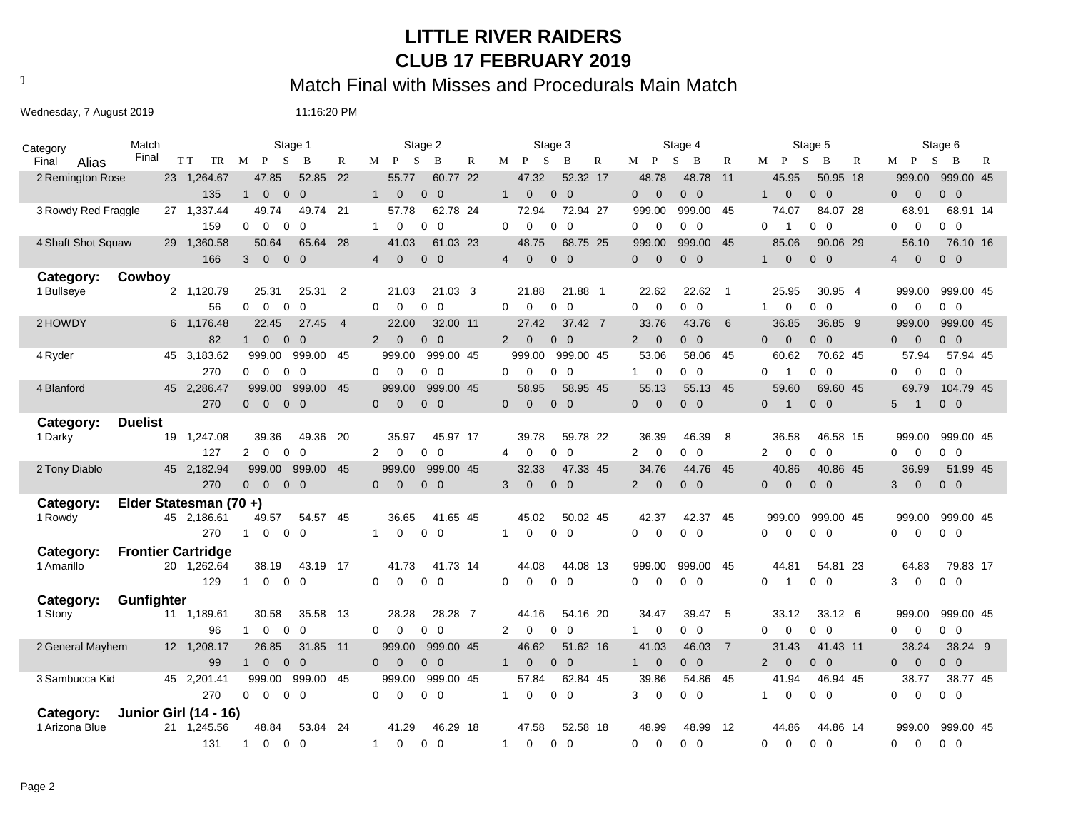### **LITTLE RIVER RAIDERS CLUB 17 FEBRUARY 2019**

Text497: Match Final with Misses and Procedurals Main Match

Wednesday, 7 August 2019 11:16:20 PM

| Category       |                     | Match          |                              |                | Stage 1                       |                |                |                                  | Stage 2                      |   |                                | Stage 3                        |           |                                  | Stage 4                          |                |                                  | Stage 5                          |                                  | Stage 6             |
|----------------|---------------------|----------------|------------------------------|----------------|-------------------------------|----------------|----------------|----------------------------------|------------------------------|---|--------------------------------|--------------------------------|-----------|----------------------------------|----------------------------------|----------------|----------------------------------|----------------------------------|----------------------------------|---------------------|
| Final          | Alias               | Final          | T T<br>TR                    | M P            | $\mathbf S$                   | B              | $\mathbb{R}$   | $M$ $P$                          | S<br>B                       | R | M P                            | -S<br>B                        | R         | $M$ $P$                          | S<br>B                           | R              | $M$ $P$                          | S.<br>B<br>R                     | $M$ P<br>S.                      | $\overline{B}$<br>R |
|                | 2 Remington Rose    |                | 23 1,264.67                  |                | 47.85                         | 52.85          | - 22           | 55.77                            | 60.77 22                     |   | 47.32                          |                                | 52.32 17  | 48.78                            | 48.78                            | $-11$          | 45.95                            | 50.95 18                         | 999.00                           | 999.00 45           |
|                |                     |                | 135                          | $\mathbf{1}$   | $\mathbf{0}$                  | $0\quad 0$     |                | $\mathbf{0}$<br>1                | $0\quad 0$                   |   | $\mathbf{1}$<br>$\overline{0}$ | $0\quad 0$                     |           | $\Omega$<br>$\overline{0}$       | $0\quad 0$                       |                | 1<br>$\overline{0}$              | $0\quad 0$                       | $\overline{0}$<br>$\overline{0}$ | $0\quad 0$          |
|                | 3 Rowdy Red Fraggle |                | 27 1,337.44                  |                | 49.74                         | 49.74 21       |                | 57.78                            | 62.78 24                     |   | 72.94                          |                                | 72.94 27  | 999.00                           | 999.00 45                        |                | 74.07                            | 84.07 28                         | 68.91                            | 68.91 14            |
|                |                     |                | 159                          | $\mathbf 0$    | $\Omega$<br>$\overline{0}$    | $\Omega$       |                | $\mathbf{1}$<br>$\Omega$         | 0<br>0                       |   | $\Omega$<br>$\Omega$           | $\mathbf 0$<br>$\Omega$        |           | 0<br>$\Omega$                    | $0\quad 0$                       |                | 0<br>-1                          | $\overline{0}$<br>$\overline{0}$ | $\mathbf 0$<br>$\Omega$          | $0\quad 0$          |
|                | 4 Shaft Shot Squaw  |                | 29 1,360.58                  |                | 50.64                         | 65.64 28       |                | 41.03                            | 61.03 23                     |   | 48.75                          |                                | 68.75 25  | 999.00                           | 999.00                           | - 45           | 85.06                            | 90.06 29                         | 56.10                            | 76.10 16            |
|                |                     |                | 166                          | 3              | $\overline{0}$                | $0\quad 0$     |                | $\mathbf 0$<br>$\overline{4}$    | $0\quad 0$                   |   | $\overline{4}$<br>$\mathbf{0}$ | $\overline{0}$<br>$\mathbf{0}$ |           | $\mathbf{0}$<br>$\overline{0}$   | $0\quad 0$                       |                | $\overline{0}$<br>1              | $0\quad 0$                       | $\mathbf{0}$<br>$\overline{4}$   | $0\quad 0$          |
| Category:      |                     | Cowboy         |                              |                |                               |                |                |                                  |                              |   |                                |                                |           |                                  |                                  |                |                                  |                                  |                                  |                     |
| 1 Bullseye     |                     |                | 2 1,120.79                   |                | 25.31                         | 25.31          | $\overline{2}$ | 21.03                            | 21.03 3                      |   | 21.88                          |                                | 21.88 1   | 22.62                            | 22.62                            | $\overline{1}$ | 25.95                            | 30.95 4                          | 999.00                           | 999.00 45           |
|                |                     |                | 56                           | $\Omega$       | $\Omega$<br>$\mathbf 0$       | $\overline{0}$ |                | $\mathbf 0$<br>$\Omega$          | $\overline{\mathbf{0}}$<br>0 |   | $\mathbf 0$<br>$\Omega$        | $\overline{0}$<br>$\Omega$     |           | $\mathbf 0$<br>0                 | $0\quad 0$                       |                | $\mathbf 0$<br>$\mathbf 1$       | $0\quad 0$                       | $\mathbf 0$<br>$\Omega$          | $0\quad 0$          |
| 2 HOWDY        |                     |                | 6 1,176.48                   |                | 22.45                         | 27.45          | $\overline{4}$ | 22.00                            | 32.00 11                     |   | 27.42                          |                                | 37.42 7   | 33.76                            | 43.76                            | - 6            | 36.85                            | 36.85 9                          | 999.00                           | 999.00 45           |
|                |                     |                | 82                           | 1              | $\overline{0}$                | $0\quad 0$     |                | $\overline{0}$<br>$\overline{2}$ | $0\quad 0$                   |   | $\overline{0}$<br>2            | $0\quad 0$                     |           | $\overline{2}$<br>$\overline{0}$ | $0\quad 0$                       |                | $\overline{0}$<br>$\overline{0}$ | $0\quad 0$                       | $\overline{0}$<br>$\mathbf{0}$   | $0\quad 0$          |
| 4 Ryder        |                     |                | 45 3,183.62                  |                | 999.00                        | 999.00 45      |                | 999.00                           | 999.00 45                    |   | 999.00                         |                                | 999.00 45 | 53.06                            | 58.06 45                         |                | 60.62                            | 70.62 45                         | 57.94                            | 57.94 45            |
|                |                     |                | 270                          |                | $0\quad 0$<br>$\overline{0}$  | $\Omega$       |                | 0<br>$\mathbf 0$                 | $0\quad 0$                   |   | $\Omega$<br>0                  | $\overline{0}$<br>$\Omega$     |           | $\overline{0}$<br>1              | $0\quad 0$                       |                | 0<br>$\overline{\mathbf{1}}$     | $0\quad 0$                       | $\mathbf 0$<br>0                 | $0\quad 0$          |
| 4 Blanford     |                     |                | 45 2,286.47                  |                | 999.00                        | 999.00         | - 45           | 999.00                           | 999.00 45                    |   | 58.95                          |                                | 58.95 45  | 55.13                            | 55.13 45                         |                | 59.60                            | 69.60 45                         | 69.79                            | 104.79 45           |
|                |                     |                | 270                          | $\overline{0}$ | $\overline{0}$                | $0\quad 0$     |                | $\overline{0}$<br>$\overline{0}$ | $0\quad 0$                   |   | $\Omega$<br>$\mathbf{0}$       | $0\quad 0$                     |           | $\Omega$<br>$\overline{0}$       | $0\quad 0$                       |                | $\overline{0}$<br>$\overline{1}$ | $0\quad 0$                       | 5<br>$\overline{1}$              | $0\quad 0$          |
| Category:      |                     | <b>Duelist</b> |                              |                |                               |                |                |                                  |                              |   |                                |                                |           |                                  |                                  |                |                                  |                                  |                                  |                     |
| 1 Darky        |                     |                | 19 1,247.08                  |                | 39.36                         | 49.36          | - 20           | 35.97                            | 45.97 17                     |   | 39.78                          |                                | 59.78 22  | 36.39                            | 46.39                            | 8              | 36.58                            | 46.58 15                         | 999.00                           | 999.00 45           |
|                |                     |                | 127                          | $\mathbf{2}$   | $\Omega$<br>$\Omega$          | $\Omega$       |                | 2<br>$\Omega$                    | $0\quad 0$                   |   | 0<br>4                         | $\Omega$<br>$\Omega$           |           | 2<br>$\Omega$                    | $0\quad 0$                       |                | $\mathbf 0$<br>$\overline{2}$    | $\Omega$<br>$\overline{0}$       | $\mathbf 0$<br>0                 | $0\quad 0$          |
| 2 Tony Diablo  |                     |                | 45 2,182.94                  |                | 999.00                        | 999.00         | 45             | 999.00                           | 999.00 45                    |   | 32.33                          |                                | 47.33 45  | 34.76                            | 44.76 45                         |                | 40.86                            | 40.86 45                         | 36.99                            | 51.99 45            |
|                |                     |                | 270                          | $\overline{0}$ | $\overline{0}$                | $0\quad 0$     |                | $\Omega$<br>$\overline{0}$       | $0\quad 0$                   |   | 3<br>$\mathbf{0}$              | $\overline{0}$<br>$\mathbf{0}$ |           | $\Omega$<br>2                    | $\overline{0}$<br>$\overline{0}$ |                | $\overline{0}$<br>$\overline{0}$ | $0\quad 0$                       | 3<br>$\overline{0}$              | $0\quad 0$          |
| Category:      |                     |                | Elder Statesman (70+)        |                |                               |                |                |                                  |                              |   |                                |                                |           |                                  |                                  |                |                                  |                                  |                                  |                     |
| 1 Rowdy        |                     |                | 45 2,186.61                  |                | 49.57                         | 54.57 45       |                | 36.65                            | 41.65 45                     |   | 45.02                          |                                | 50.02 45  | 42.37                            | 42.37                            | 45             | 999.00                           | 999.00 45                        | 999.00                           | 999.00 45           |
|                |                     |                | 270                          | $\mathbf{1}$   | $\mathbf 0$<br>$\mathbf 0$    | $\mathbf 0$    |                | $\mathbf 0$<br>$\mathbf{1}$      | $0\quad 0$                   |   | 0<br>$\mathbf{1}$              | $\mathbf 0$<br>$\overline{0}$  |           | $\Omega$<br>0                    | $0\quad 0$                       |                | $\mathbf 0$<br>0                 | $0\quad 0$                       | $\mathbf 0$<br>0                 | $0\quad 0$          |
| Category:      |                     |                | <b>Frontier Cartridge</b>    |                |                               |                |                |                                  |                              |   |                                |                                |           |                                  |                                  |                |                                  |                                  |                                  |                     |
| 1 Amarillo     |                     |                | 20 1.262.64                  |                | 38.19                         | 43.19 17       |                | 41.73                            | 41.73 14                     |   | 44.08                          |                                | 44.08 13  | 999.00                           | 999.00 45                        |                | 44.81                            | 54.81 23                         | 64.83                            | 79.83 17            |
|                |                     |                | 129                          | $\mathbf 1$    | $\mathbf 0$                   | $0\quad 0$     |                | 0<br>$\mathbf 0$                 | $0\quad 0$                   |   | 0<br>0                         | $\overline{0}$<br>$\mathbf 0$  |           | $\Omega$<br>0                    | $0\quad 0$                       |                | 0<br>$\overline{1}$              | $0\quad 0$                       | $\mathbf 0$<br>3                 | $0\quad 0$          |
| Category:      |                     | Gunfighter     |                              |                |                               |                |                |                                  |                              |   |                                |                                |           |                                  |                                  |                |                                  |                                  |                                  |                     |
| 1 Stony        |                     |                | 11 1,189.61                  |                | 30.58                         | 35.58 13       |                | 28.28                            | 28.28 7                      |   | 44.16                          |                                | 54.16 20  | 34.47                            | 39.47                            | - 5            | 33.12                            | 33.12 6                          | 999.00                           | 999.00 45           |
|                |                     |                | 96                           | $\mathbf{1}$   | $\mathbf 0$<br>$\mathbf{0}$   | $\Omega$       |                | $\Omega$<br>$\mathbf 0$          | $0\quad 0$                   |   | $\overline{2}$<br>$\mathbf 0$  | $\Omega$<br>$\Omega$           |           | $\overline{0}$<br>$\mathbf{1}$   | $0\quad 0$                       |                | 0<br>$\Omega$                    | $\overline{0}$<br>$\overline{0}$ | $\mathbf{0}$<br>$\overline{0}$   | $0\quad 0$          |
|                | 2 General Mayhem    |                | 12 1,208.17                  |                | 26.85                         | 31.85 11       |                | 999.00                           | 999.00 45                    |   | 46.62                          |                                | 51.62 16  | 41.03                            | 46.03                            | $\overline{7}$ | 31.43                            | 41.43 11                         | 38.24                            | 38.24 9             |
|                |                     |                | 99                           | $\mathbf{1}$   | $\overline{0}$                | $0\quad 0$     |                | $\Omega$<br>$\overline{0}$       | $0\quad 0$                   |   | $\overline{0}$<br>$\mathbf{1}$ | $\Omega$<br>$\Omega$           |           | $1 \quad 0$                      | 0 <sub>0</sub>                   |                | $\overline{0}$<br>$2^{\circ}$    | $0\quad 0$                       | $\overline{0}$<br>$\overline{0}$ | $0\quad 0$          |
|                | 3 Sambucca Kid      |                | 45 2,201.41                  |                | 999.00                        | 999.00 45      |                | 999.00                           | 999.00 45                    |   | 57.84                          |                                | 62.84 45  | 39.86                            | 54.86 45                         |                | 41.94                            | 46.94 45                         | 38.77                            | 38.77 45            |
|                |                     |                | 270                          | $\mathbf 0$    | $\mathbf 0$                   | $0\quad 0$     |                | $\mathbf 0$<br>0                 | $0\quad 0$                   |   | 0<br>$\mathbf{1}$              | $\mathbf 0$<br>$\overline{0}$  |           | $\mathbf 0$<br>3                 | $0\quad 0$                       |                | $\mathbf 0$<br>$\mathbf{1}$      | $\overline{0}$<br>$\overline{0}$ | 0<br>$\mathbf 0$                 | $0\quad 0$          |
| Category:      |                     |                | <b>Junior Girl (14 - 16)</b> |                |                               |                |                |                                  |                              |   |                                |                                |           |                                  |                                  |                |                                  |                                  |                                  |                     |
| 1 Arizona Blue |                     |                | 21 1,245.56                  |                | 48.84                         | 53.84          | -24            | 41.29                            | 46.29 18                     |   | 47.58                          |                                | 52.58 18  | 48.99                            | 48.99 12                         |                | 44.86                            | 44.86 14                         | 999.00                           | 999.00 45           |
|                |                     |                | 131                          | $\mathbf{1}$   | $\mathbf 0$<br>$\overline{0}$ | $\overline{0}$ |                | $\mathbf 0$<br>$\mathbf{1}$      | $0\quad 0$                   |   | 0<br>$\mathbf{1}$              | $\overline{0}$<br>0            |           | 0<br>$\mathbf 0$                 | $0\quad 0$                       |                | $\mathbf 0$<br>0                 | $0\quad 0$                       | 0<br>$\mathbf 0$                 | $0\quad 0$          |